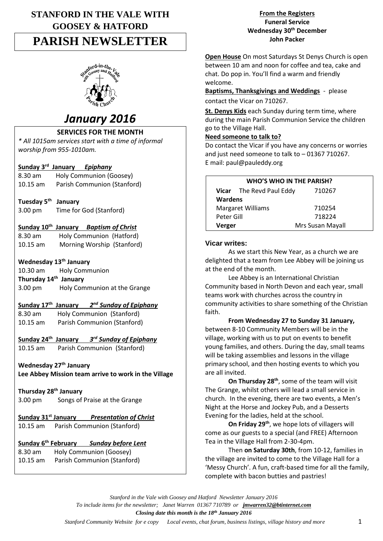# **STANFORD IN THE VALE WITH GOOSEY & HATFORD PARISH NEWSLETTER**



# *January 2016*

# **SERVICES FOR THE MONTH**

*\* All 1015am services start with a time of informal worship from 955-1010am.*

# **Sunday 3 rd January** *Epiphany*

| 8.30 am            | Holy Communion (Goosey)     |
|--------------------|-----------------------------|
| $10.15 \text{ am}$ | Parish Communion (Stanford) |

## **Tuesday 5th January**

3.00 pm Time for God (Stanford)

## **Sunday 10th January** *Baptism of Christ*

| 8.30 am    | Holy Communion (Hatford)   |  |
|------------|----------------------------|--|
| $10.15$ am | Morning Worship (Stanford) |  |

#### **Wednesday 13th January**

10.30 am Holy Communion

**Thursday 14th January** 3.00 pm Holy Communion at the Grange

#### **Sunday 17th January** *2 nd Sunday of Epiphany*

8.30 am Holy Communion (Stanford) 10.15 am Parish Communion (Stanford)

#### **Sunday 24th January** *3 rd Sunday of Epiphany*

10.15 am Parish Communion (Stanford)

# **Wednesday 27th January**

**Lee Abbey Mission team arrive to work in the Village**

**Thursday 28th January** 3.00 pm Songs of Praise at the Grange

# **Sunday 31st January** *Presentation of Christ*

10.15 am Parish Communion (Stanford)

#### **Sunday 6th February** *Sunday before Lent*

8.30 am Holy Communion (Goosey) 10.15 am Parish Communion (Stanford)

#### **From the Registers Funeral Service Wednesday 30th December John Packer**

**Open House** On most Saturdays St Denys Church is open between 10 am and noon for coffee and tea, cake and chat. Do pop in. You'll find a warm and friendly welcome.

**Baptisms, Thanksgivings and Weddings** - please contact the Vicar on 710267.

**St. Denys Kids** each Sunday during term time, where during the main Parish Communion Service the children go to the Village Hall.

#### **Need someone to talk to?**

Do contact the Vicar if you have any concerns or worries and just need someone to talk to – 01367 710267. E mail: paul@pauleddy.org

| <b>WHO'S WHO IN THE PARISH?</b> |                                 |                  |  |  |
|---------------------------------|---------------------------------|------------------|--|--|
|                                 | <b>Vicar</b> The Revd Paul Eddy | 710267           |  |  |
| <b>Wardens</b>                  |                                 |                  |  |  |
| <b>Margaret Williams</b>        |                                 | 710254           |  |  |
| Peter Gill                      |                                 | 718224           |  |  |
| Verger                          |                                 | Mrs Susan Mayall |  |  |

#### **Vicar writes:**

As we start this New Year, as a church we are delighted that a team from Lee Abbey will be joining us at the end of the month.

Lee Abbey is an International Christian Community based in North Devon and each year, small teams work with churches across the country in community activities to share something of the Christian faith.

#### **From Wednesday 27 to Sunday 31 January,** between 8-10 Community Members will be in the village, working with us to put on events to benefit young families, and others. During the day, small teams will be taking assemblies and lessons in the village primary school, and then hosting events to which you are all invited.

**On Thursday 28th**, some of the team will visit The Grange, whilst others will lead a small service in church. In the evening, there are two events, a Men's Night at the Horse and Jockey Pub, and a Desserts Evening for the ladies, held at the school.

**On Friday 29th**, we hope lots of villagers will come as our guests to a special (and FREE) Afternoon Tea in the Village Hall from 2-30-4pm.

Then **on Saturday 30th**, from 10-12, families in the village are invited to come to the Village Hall for a 'Messy Church'. A fun, craft-based time for all the family, complete with bacon butties and pastries!

*Stanford in the Vale with Goosey and Hatford Newsletter January 2016 To include items for the newsletter; Janet Warren 01367 710789 or [jmwarren32@btinternet.com](mailto:jmwarren32@btinternet.com) Closing date this month is the 18th January 2016*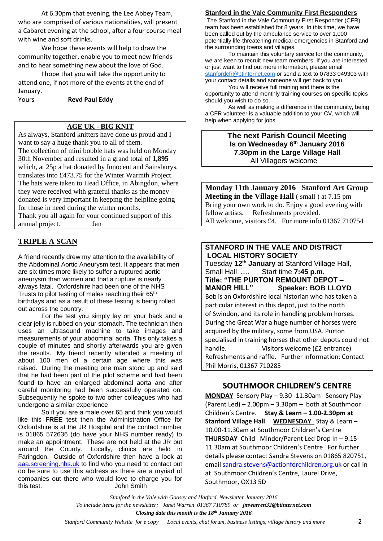At 6.30pm that evening, the Lee Abbey Team, who are comprised of various nationalities, will present a Cabaret evening at the school, after a four course meal with wine and soft drinks.

We hope these events will help to draw the community together, enable you to meet new friends and to hear something new about the love of God.

I hope that you will take the opportunity to attend one, if not more of the events at the end of January.

Yours **Revd Paul Eddy**

#### **AGE UK - BIG KNIT**

As always, Stanford knitters have done us proud and I want to say a huge thank you to all of them. The collection of mini bobble hats was held on Monday 30th November and resulted in a grand total of **1,895** which, at 25p a hat donated by Innocent and Sainsburys, translates into £473.75 for the Winter Warmth Project. The hats were taken to Head Office, in Abingdon, where they were received with grateful thanks as the money donated is very important in keeping the helpline going for those in need during the winter months. Thank you all again for your continued support of this annual project. Jan

# **TRIPLE A SCAN**

A friend recently drew my attention to the availability of the Abdominal Aortic Aneurysm test. It appears that men are six times more likely to suffer a ruptured aortic aneurysm than women and that a rupture is nearly always fatal. Oxfordshire had been one of the NHS Trusts to pilot testing of males reaching their 65<sup>th</sup> birthdays and as a result of these testing is being rolled out across the country.

For the test you simply lay on your back and a clear jelly is rubbed on your stomach. The technician then uses an ultrasound machine to take images and measurements of your abdominal aorta. This only takes a couple of minutes and shortly afterwards you are given the results. My friend recently attended a meeting of about 100 men of a certain age where this was raised. During the meeting one man stood up and said that he had been part of the pilot scheme and had been found to have an enlarged abdominal aorta and after careful monitoring had been successfully operated on. Subsequently he spoke to two other colleagues who had undergone a similar experience

So if you are a male over 65 and think you would like this **FREE** test then the Administration Office for Oxfordshire is at the JR Hospital and the contact number is 01865 572636 (do have your NHS number ready) to make an appointment. These are not held at the JR but around the County. Locally, clinics are held in Faringdon. Outside of Oxfordshire then have a look at [aaa.screening.nhs.uk](mailto:aaa.screening.nhs.uk) to find who you need to contact but do be sure to use this address as there are a myriad of companies out there who would love to charge you for this test. John Smith

#### **Stanford in the Vale Community First Responders**

The Stanford in the Vale Community First Responder (CFR) team has been established for 8 years. In this time, we have been called out by the ambulance service to over 1,000 potentially life-threatening medical emergencies in Stanford and the surrounding towns and villages.

To maintain this voluntary service for the community, we are keen to recruit new team members. If you are interested or just want to find out more information, please email [stanfordcfr@btinternet.com](mailto:stanfordcfr@btinternet.com) or send a text to 07833 049303 with your contact details and someone will get back to you.

You will receive full training and there is the opportunity to attend monthly training courses on specific topics should you wish to do so.

As well as making a difference in the community, being a CFR volunteer is a valuable addition to your CV, which will help when applying for jobs.

#### **The next Parish Council Meeting Is on Wednesday 6 th January 2016 7.30pm in the Large Village Hall** All Villagers welcome

**Monday 11th January 2016 Stanford Art Group Meeting in the Village Hall** (small) at 7.15 pm Bring your own work to do. Enjoy a good evening with fellow artists. Refreshments provided. All welcome, visitors £4. For more info 01367 710754

#### **STANFORD IN THE VALE AND DISTRICT LOCAL HISTORY SOCIETY**

Tuesday **12th January** at Stanford Village Hall, **Start time 7:45 p.m. Title: "THE PURTON REMOUNT DEPOT –**  $S$  **Speaker: BOB LLOYD** Bob is an Oxfordshire local historian who has taken a particular interest in this depot, just to the north of Swindon, and its role in handling problem horses. During the Great War a huge number of horses were acquired by the military, some from USA. Purton specialised in training horses that other depots could not handle. Visitors welcome (£2 entrance) Refreshments and raffle. Further information: Contact Phil Morris, 01367 710285

# **SOUTHMOOR CHILDREN'S CENTRE**

**MONDAY** Sensory Play – 9.30 -11.30am Sensory Play (Parent Led) – 2.00pm – 3.30pm – both at Southmoor Children's Centre. **Stay & Learn – 1.00-2.30pm at Stanford Village Hall WEDNESDAY** Stay & Learn – 10.00-11.30am at Southmoor Children's Centre **THURSDAY** Child Minder/Parent Led Drop In – 9.15- 11.30am at Southmoor Children's Centre For further details please contact Sandra Stevens on 01865 820751, email [sandra.stevens@actionforchildren.org.uk](mailto:sandra.stevens@actionforchildren.org.uk) or call in at Southmoor Children's Centre, Laurel Drive, Southmoor, OX13 5D

*Stanford in the Vale with Goosey and Hatford Newsletter January 2016 To include items for the newsletter; Janet Warren 01367 710789 or [jmwarren32@btinternet.com](mailto:jmwarren32@btinternet.com) Closing date this month is the 18th January 2016*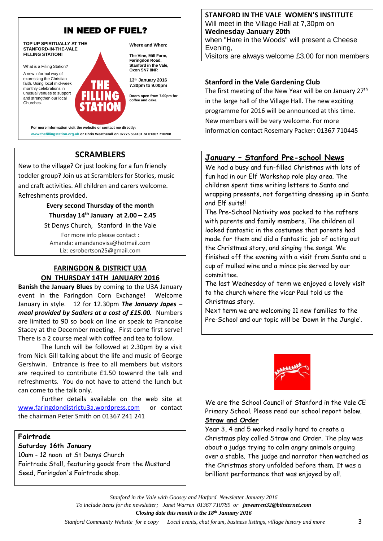

**www.thefillingstation.org.uk or Chris Weatherall on 07775 564131 or 01367 710208** 

# **SCRAMBLERS**

New to the village? Or just looking for a fun friendly toddler group? Join us at Scramblers for Stories, music and craft activities. All children and carers welcome. Refreshments provided.

## **Every second Thursday of the month Thursday 14th January at 2.00 – 2.45**

St Denys Church, Stanford in the Vale For more info please contact : Amanda: amandanoviss@hotmail.com Liz: esrobertson25@gmail.com

# **FARINGDON & DISTRICT U3A ON THURSDAY 14TH JANUARY 2016**

**Banish the January Blues** by coming to the U3A January event in the Faringdon Corn Exchange! Welcome January in style. 12 for 12.30pm *The January Japes – meal provided by Sadlers at a cost of £15.00.* Numbers are limited to 90 so book on line or speak to Francoise Stacey at the December meeting. First come first serve! There is a 2 course meal with coffee and tea to follow.

The lunch will be followed at 2.30pm by a visit from Nick Gill talking about the life and music of George Gershwin. Entrance is free to all members but visitors are required to contribute £1.50 towanrd the talk and refreshments. You do not have to attend the lunch but can come to the talk only.

Further details available on the web site at [www.faringdondistrictu3a.wordpress.com](http://www.faringdondistrictu3a.wordpress.com/) or contact the chairman Peter Smith on 01367 241 241

#### **Fairtrade**

#### **Saturday 16th January**

10am - 12 noon at St Denys Church Fairtrade Stall, featuring goods from the Mustard Seed, Faringdon's Fairtrade shop.

**STANFORD IN THE VALE WOMEN'S INSTITUTE** Will meet in the Village Hall at 7,30pm on **Wednesday January 20th** when "Hare in the Woods" will present a Cheese Evening,

Visitors are always welcome £3.00 for non members

## **Stanford in the Vale Gardening Club**

The first meeting of the New Year will be on January 27<sup>th</sup> in the large hall of the Village Hall. The new exciting programme for 2016 will be announced at this time. New members will be very welcome. For more information contact Rosemary Packer: 01367 710445

# **January – Stanford Pre-school News**

We had a busy and fun-filled Christmas with lots of fun had in our Elf Workshop role play area. The children spent time writing letters to Santa and wrapping presents, not forgetting dressing up in Santa and Elf suits!!

The Pre-School Nativity was packed to the rafters with parents and family members. The children all looked fantastic in the costumes that parents had made for them and did a fantastic job of acting out the Christmas story, and singing the songs. We finished off the evening with a visit from Santa and a cup of mulled wine and a mince pie served by our committee.

The last Wednesday of term we enjoyed a lovely visit to the church where the vicar Paul told us the Christmas story.

Next term we are welcoming 11 new families to the Pre-School and our topic will be 'Down in the Jungle'.



We are the School Council of Stanford in the Vale CE Primary School. Please read our school report below. **Straw and Order**

Year 3, 4 and 5 worked really hard to create a Christmas play called Straw and Order. The play was about a judge trying to calm angry animals arguing over a stable. The judge and narrator then watched as the Christmas story unfolded before them. It was a brilliant performance that was enjoyed by all.

*Stanford in the Vale with Goosey and Hatford Newsletter January 2016 To include items for the newsletter; Janet Warren 01367 710789 or [jmwarren32@btinternet.com](mailto:jmwarren32@btinternet.com) Closing date this month is the 18th January 2016*

 *Stanford Community Website for e copy Local events, chat forum, business listings, village history and more* 3